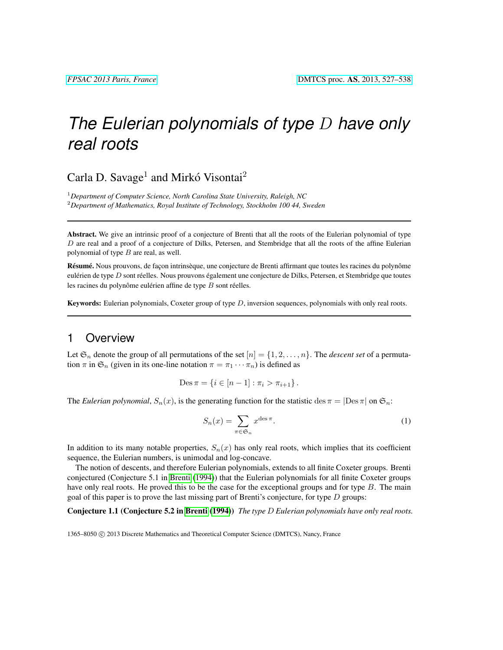# *The Eulerian polynomials of type* D *have only real roots*

Carla D. Savage<sup>1</sup> and Mirkó Visontai<sup>2</sup>

<sup>1</sup>*Department of Computer Science, North Carolina State University, Raleigh, NC* <sup>2</sup>*Department of Mathematics, Royal Institute of Technology, Stockholm 100 44, Sweden*

Abstract. We give an intrinsic proof of a conjecture of Brenti that all the roots of the Eulerian polynomial of type  $D$  are real and a proof of a conjecture of Dilks, Petersen, and Stembridge that all the roots of the affine Eulerian polynomial of type  $B$  are real, as well.

Résumé. Nous prouvons, de façon intrinsèque, une conjecture de Brenti affirmant que toutes les racines du polynôme eulérien de type D sont réelles. Nous prouvons également une conjecture de Dilks, Petersen, et Stembridge que toutes les racines du polynôme eulérien affine de type  $B$  sont réelles.

**Keywords:** Eulerian polynomials, Coxeter group of type  $D$ , inversion sequences, polynomials with only real roots.

## 1 Overview

Let  $\mathfrak{S}_n$  denote the group of all permutations of the set  $[n] = \{1, 2, \ldots, n\}$ . The *descent set* of a permutation  $\pi$  in  $\mathfrak{S}_n$  (given in its one-line notation  $\pi = \pi_1 \cdots \pi_n$ ) is defined as

Des 
$$
\pi = \{i \in [n-1] : \pi_i > \pi_{i+1}\}.
$$

The *Eulerian polynomial*,  $S_n(x)$ , is the generating function for the statistic des  $\pi = |\text{Des }\pi|$  on  $\mathfrak{S}_n$ :

<span id="page-0-0"></span>
$$
S_n(x) = \sum_{\pi \in \mathfrak{S}_n} x^{\text{des}\,\pi}.
$$
 (1)

In addition to its many notable properties,  $S_n(x)$  has only real roots, which implies that its coefficient sequence, the Eulerian numbers, is unimodal and log-concave.

The notion of descents, and therefore Eulerian polynomials, extends to all finite Coxeter groups. Brenti conjectured (Conjecture 5.1 in [Brenti](#page-11-0) [\(1994\)](#page-11-0)) that the Eulerian polynomials for all finite Coxeter groups have only real roots. He proved this to be the case for the exceptional groups and for type  $B$ . The main goal of this paper is to prove the last missing part of Brenti's conjecture, for type  $D$  groups:

Conjecture 1.1 (Conjecture 5.2 in [Brenti](#page-11-0) [\(1994\)](#page-11-0)) *The type* D *Eulerian polynomials have only real roots.*

1365-8050 © 2013 Discrete Mathematics and Theoretical Computer Science (DMTCS), Nancy, France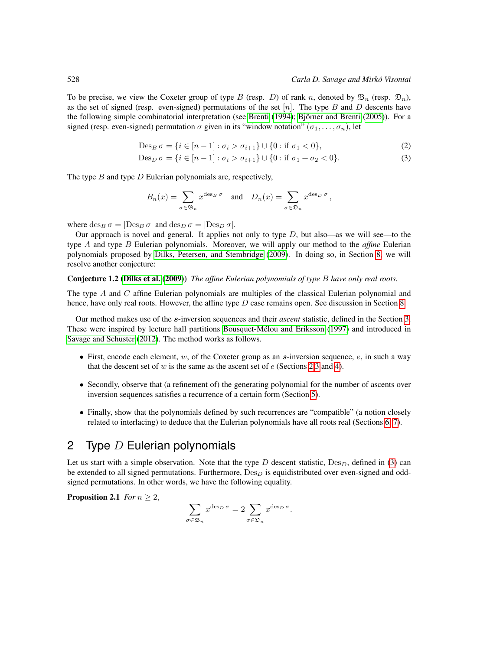To be precise, we view the Coxeter group of type B (resp. D) of rank n, denoted by  $\mathfrak{B}_n$  (resp.  $\mathfrak{D}_n$ ), as the set of signed (resp. even-signed) permutations of the set  $[n]$ . The type B and D descents have the following simple combinatorial interpretation (see [Brenti](#page-11-0) [\(1994\)](#page-11-0); Björner and Brenti [\(2005\)](#page-11-1)). For a signed (resp. even-signed) permutation  $\sigma$  given in its "window notation"  $(\sigma_1, \ldots, \sigma_n)$ , let

$$
Des_B \sigma = \{ i \in [n-1] : \sigma_i > \sigma_{i+1} \} \cup \{ 0 : \text{if } \sigma_1 < 0 \},
$$
\n(2)

$$
Des_D \sigma = \{ i \in [n-1] : \sigma_i > \sigma_{i+1} \} \cup \{ 0 : \text{if } \sigma_1 + \sigma_2 < 0 \}. \tag{3}
$$

The type  $B$  and type  $D$  Eulerian polynomials are, respectively,

<span id="page-1-2"></span><span id="page-1-1"></span>
$$
B_n(x) = \sum_{\sigma \in \mathfrak{B}_n} x^{\deg_B \sigma} \quad \text{and} \quad D_n(x) = \sum_{\sigma \in \mathfrak{D}_n} x^{\deg_D \sigma} \,,
$$

where  $\text{des}_B \sigma = |\text{Des}_B \sigma|$  and  $\text{des}_D \sigma = |\text{Des}_D \sigma|$ .

Our approach is novel and general. It applies not only to type  $D$ , but also—as we will see—to the type A and type B Eulerian polynomials. Moreover, we will apply our method to the *affine* Eulerian polynomials proposed by [Dilks, Petersen, and Stembridge](#page-11-2) [\(2009\)](#page-11-2). In doing so, in Section [8,](#page-10-0) we will resolve another conjecture:

#### Conjecture 1.2 [\(Dilks et al.](#page-11-2) [\(2009\)](#page-11-2)) *The affine Eulerian polynomials of type* B *have only real roots.*

The type  $A$  and  $C$  affine Eulerian polynomials are multiples of the classical Eulerian polynomial and hence, have only real roots. However, the affine type  $D$  case remains open. See discussion in Section [8.](#page-10-0)

Our method makes use of the s-inversion sequences and their *ascent* statistic, defined in the Section [3.](#page-2-0) These were inspired by lecture hall partitions [Bousquet-Melou and Eriksson](#page-11-3) [\(1997\)](#page-11-3) and introduced in ´ [Savage and Schuster](#page-11-4) [\(2012\)](#page-11-4). The method works as follows.

- First, encode each element,  $w$ , of the Coxeter group as an  $s$ -inversion sequence,  $e$ , in such a way that the descent set of  $w$  is the same as the ascent set of  $e$  (Sections [2,](#page-1-0)[3](#page-2-0) and [4\)](#page-3-0).
- Secondly, observe that (a refinement of) the generating polynomial for the number of ascents over inversion sequences satisfies a recurrence of a certain form (Section [5\)](#page-6-0).
- Finally, show that the polynomials defined by such recurrences are "compatible" (a notion closely related to interlacing) to deduce that the Eulerian polynomials have all roots real (Sections [6,](#page-6-1) [7\)](#page-9-0).

### <span id="page-1-0"></span>2 Type  $D$  Eulerian polynomials

Let us start with a simple observation. Note that the type D descent statistic,  $Des<sub>D</sub>$ , defined in [\(3\)](#page-1-1) can be extended to all signed permutations. Furthermore,  $Des_D$  is equidistributed over even-signed and oddsigned permutations. In other words, we have the following equality.

**Proposition 2.1** *For*  $n \geq 2$ ,

$$
\sum_{\sigma \in \mathfrak{B}_n} x^{\text{des}_D \sigma} = 2 \sum_{\sigma \in \mathfrak{D}_n} x^{\text{des}_D \sigma}.
$$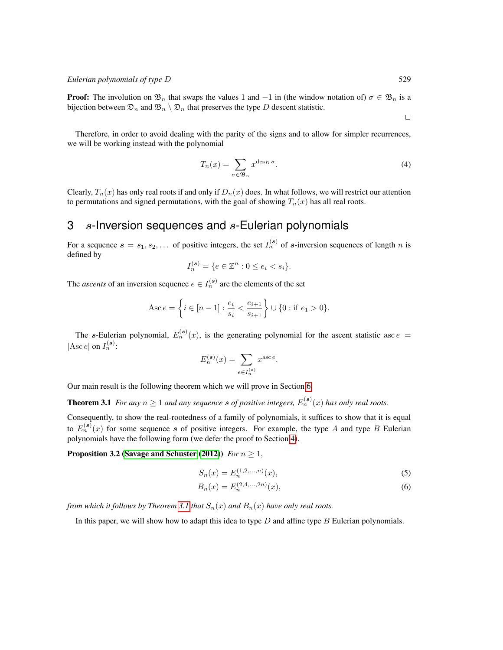**Proof:** The involution on  $\mathfrak{B}_n$  that swaps the values 1 and  $-1$  in (the window notation of)  $\sigma \in \mathfrak{B}_n$  is a bijection between  $\mathfrak{D}_n$  and  $\mathfrak{B}_n \setminus \mathfrak{D}_n$  that preserves the type D descent statistic.

Therefore, in order to avoid dealing with the parity of the signs and to allow for simpler recurrences, we will be working instead with the polynomial

$$
T_n(x) = \sum_{\sigma \in \mathfrak{B}_n} x^{\text{des}_D \sigma}.
$$
 (4)

Clearly,  $T_n(x)$  has only real roots if and only if  $D_n(x)$  does. In what follows, we will restrict our attention to permutations and signed permutations, with the goal of showing  $T_n(x)$  has all real roots.

# <span id="page-2-0"></span> $3$  s-Inversion sequences and  $s$ -Eulerian polynomials

For a sequence  $s = s_1, s_2, \ldots$  of positive integers, the set  $I_n^{(s)}$  of s-inversion sequences of length n is defined by

$$
I_n^{(\mathbf{s})}=\{e\in\mathbb{Z}^n:0\leq e_i
$$

The *ascents* of an inversion sequence  $e \in I_n^{(s)}$  are the elements of the set

$$
Asc e = \left\{ i \in [n-1] : \frac{e_i}{s_i} < \frac{e_{i+1}}{s_{i+1}} \right\} \cup \{0 : \text{if } e_1 > 0\}.
$$

The s-Eulerian polynomial,  $E_n^{(s)}(x)$ , is the generating polynomial for the ascent statistic asc  $e =$  $|\text{Asc } e|$  on  $I_n^{(s)}$ :

<span id="page-2-1"></span>
$$
E_n^{(\mathbf{s})}(x) = \sum_{e \in I_n^{(\mathbf{s})}} x^{\textrm{asc }e}.
$$

Our main result is the following theorem which we will prove in Section [6.](#page-6-1)

**Theorem 3.1** *For any*  $n \geq 1$  *and any sequence* **s** of positive integers,  $E_n^{(s)}(x)$  has only real roots.

Consequently, to show the real-rootedness of a family of polynomials, it suffices to show that it is equal to  $E_n^{(s)}(x)$  for some sequence s of positive integers. For example, the type A and type B Eulerian polynomials have the following form (we defer the proof to Section [4\)](#page-3-0).

#### **Proposition 3.2 [\(Savage and Schuster](#page-11-4) [\(2012\)](#page-11-4))** *For*  $n \geq 1$ ,

<span id="page-2-4"></span><span id="page-2-3"></span><span id="page-2-2"></span>
$$
S_n(x) = E_n^{(1,2,...,n)}(x),\tag{5}
$$

$$
B_n(x) = E_n^{(2,4,\ldots,2n)}(x),\tag{6}
$$

*from which it follows by Theorem* [3.1](#page-2-1) *that*  $S_n(x)$  *and*  $B_n(x)$  *have only real roots.* 

In this paper, we will show how to adapt this idea to type  $D$  and affine type  $B$  Eulerian polynomials.

 $\Box$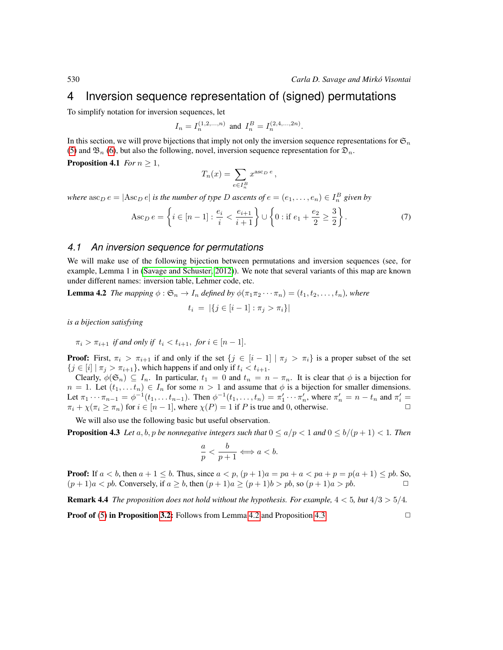### <span id="page-3-0"></span>4 Inversion sequence representation of (signed) permutations

To simplify notation for inversion sequences, let

$$
I_n = I_n^{(1,2,...,n)}
$$
 and  $I_n^B = I_n^{(2,4,...,2n)}$ .

In this section, we will prove bijections that imply not only the inversion sequence representations for  $\mathfrak{S}_n$ [\(5\)](#page-2-2) and  $\mathfrak{B}_n$  [\(6\)](#page-2-3), but also the following, novel, inversion sequence representation for  $\mathfrak{D}_n$ .

**Proposition 4.1** *For*  $n \geq 1$ ,

<span id="page-3-3"></span><span id="page-3-1"></span>
$$
T_n(x) = \sum_{e \in I_n^B} x^{\mathrm{asc}_D e},
$$

where  $\text{asc}_D e = |\text{Asc}_D e|$  is the number of type  $D$  ascents of  $e = (e_1, \ldots, e_n) \in I_n^B$  given by

$$
\text{Asc}_D e = \left\{ i \in [n-1] : \frac{e_i}{i} < \frac{e_{i+1}}{i+1} \right\} \cup \left\{ 0 : \text{if } e_1 + \frac{e_2}{2} \ge \frac{3}{2} \right\}. \tag{7}
$$

#### *4.1 An inversion sequence for permutations*

We will make use of the following bijection between permutations and inversion sequences (see, for example, Lemma 1 in [\(Savage and Schuster, 2012\)](#page-11-4)). We note that several variants of this map are known under different names: inversion table, Lehmer code, etc.

**Lemma 4.2** *The mapping*  $\phi$  :  $\mathfrak{S}_n \to I_n$  *defined by*  $\phi(\pi_1 \pi_2 \cdots \pi_n) = (t_1, t_2, \ldots, t_n)$ *, where*  $t_i = |\{j \in [i-1]: \pi_j > \pi_i\}|$ 

*is a bijection satisfying*

$$
\pi_i > \pi_{i+1} \text{ if and only if } t_i < t_{i+1}, \text{ for } i \in [n-1].
$$

**Proof:** First,  $\pi_i > \pi_{i+1}$  if and only if the set  $\{j \in [i-1] \mid \pi_j > \pi_i\}$  is a proper subset of the set  ${j \in [i] \mid \pi_j > \pi_{i+1}}$ , which happens if and only if  $t_i < t_{i+1}$ .

Clearly,  $\phi(\mathfrak{S}_n) \subseteq I_n$ . In particular,  $t_1 = 0$  and  $t_n = n - \pi_n$ . It is clear that  $\phi$  is a bijection for  $n = 1$ . Let  $(t_1, \ldots, t_n) \in I_n$  for some  $n > 1$  and assume that  $\phi$  is a bijection for smaller dimensions. Let  $\pi_1 \cdots \pi_{n-1} = \phi^{-1}(t_1, \ldots t_{n-1})$ . Then  $\phi^{-1}(t_1, \ldots, t_n) = \pi'_1 \cdots \pi'_n$ , where  $\pi'_n = n - t_n$  and  $\pi'_i =$  $\pi_i + \chi(\pi_i \ge \pi_n)$  for  $i \in [n-1]$ , where  $\chi(P) = 1$  if P is true and 0, otherwise.

We will also use the following basic but useful observation.

**Proposition 4.3** Let a, b, p be nonnegative integers such that  $0 \le a/p < 1$  and  $0 \le b/(p+1) < 1$ . Then

<span id="page-3-2"></span>
$$
\frac{a}{p} < \frac{b}{p+1} \Longleftrightarrow a < b.
$$

**Proof:** If  $a < b$ , then  $a + 1 \le b$ . Thus, since  $a < p$ ,  $(p + 1)a = pa + a < pa + p = p(a + 1) \le pb$ . So,  $(p+1)a < pb$ . Conversely, if  $a \ge b$ , then  $(p+1)a \ge (p+1)b > pb$ , so  $(p+1)a > pb$ .

Remark 4.4 *The proposition does not hold without the hypothesis. For example,* 4 < 5*, but* 4/3 > 5/4*.*

**Proof of** [\(5\)](#page-2-2) in Proposition [3.2:](#page-2-4) Follows from Lemma [4.2](#page-3-1) and Proposition [4.3.](#page-3-2)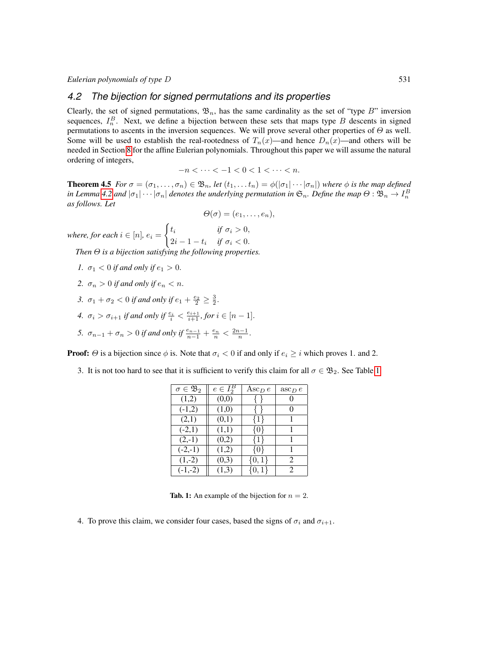#### *4.2 The bijection for signed permutations and its properties*

Clearly, the set of signed permutations,  $\mathfrak{B}_n$ , has the same cardinality as the set of "type B" inversion sequences,  $I_n^B$ . Next, we define a bijection between these sets that maps type B descents in signed permutations to ascents in the inversion sequences. We will prove several other properties of  $\Theta$  as well. Some will be used to establish the real-rootedness of  $T_n(x)$ —and hence  $D_n(x)$ —and others will be needed in Section [8](#page-10-0) for the affine Eulerian polynomials. Throughout this paper we will assume the natural ordering of integers,

$$
-n<\cdots<-1<0<1<\cdots
$$

<span id="page-4-1"></span>**Theorem 4.5** *For*  $\sigma = (\sigma_1, \ldots, \sigma_n) \in \mathfrak{B}_n$ , let  $(t_1, \ldots, t_n) = \phi(|\sigma_1| \cdots |\sigma_n|)$  where  $\phi$  is the map defined in Lemma [4.2](#page-3-1) and  $|\sigma_1|\cdots|\sigma_n|$  denotes the underlying permutation in  $\mathfrak{S}_n.$  Define the map  $\Theta:\mathfrak{B}_n\to I^B_n$ *as follows. Let*

$$
\Theta(\sigma)=(e_1,\ldots,e_n),
$$

*where, for each*  $i \in [n]$ *, e<sub>i</sub>* =  $\int t_i$  *if*  $\sigma_i > 0$ ,  $2i-1-t_i$  *if*  $\sigma_i < 0$ .

*Then*  $\Theta$  *is a bijection satisfying the following*.

- <span id="page-4-2"></span>*1.*  $\sigma_1 < 0$  *if and only if*  $e_1 > 0$ *.*
- <span id="page-4-5"></span>2.  $\sigma_n > 0$  *if and only if*  $e_n < n$ .
- <span id="page-4-4"></span>3.  $\sigma_1 + \sigma_2 < 0$  *if and only if*  $e_1 + \frac{e_2}{2} \ge \frac{3}{2}$ .
- <span id="page-4-3"></span>*4.*  $\sigma_i > \sigma_{i+1}$  *if and only if*  $\frac{e_i}{i} < \frac{e_{i+1}}{i+1}$ *, for*  $i \in [n-1]$ *.*
- <span id="page-4-6"></span>5.  $\sigma_{n-1} + \sigma_n > 0$  *if and only if*  $\frac{e_{n-1}}{n-1} + \frac{e_n}{n} < \frac{2n-1}{n}$ .

**Proof:**  $\Theta$  is a bijection since  $\phi$  is. Note that  $\sigma_i < 0$  if and only if  $e_i \geq i$  which proves 1. and 2.

3. It is not too hard to see that it is sufficient to verify this claim for all  $\sigma \in \mathfrak{B}_2$ . See Table [1.](#page-4-0)

| $\sigma \in \mathfrak{B}_2$ | $e \in I_2^B$ | Asc $_{D}e$ | $asc_D e$      |
|-----------------------------|---------------|-------------|----------------|
| (1,2)                       | (0,0)         | ∤ ∤         | 0              |
| $(-1,2)$                    | (1,0)         | ∤ ∤         | $\theta$       |
| (2,1)                       | (0,1)         | ${1}$       |                |
| $(-2,1)$                    | (1,1)         | $\{0\}$     |                |
| $(2,-1)$                    | (0,2)         | ${1}$       | 1              |
| $(-2,-1)$                   | (1,2)         | $\{0\}$     |                |
| $(1,-2)$                    | (0,3)         | $\{0,1\}$   | 2              |
| $(-1,-2)$                   | (1,3)         | $\{0,1\}$   | $\mathfrak{D}$ |

<span id="page-4-0"></span>**Tab. 1:** An example of the bijection for  $n = 2$ .

4. To prove this claim, we consider four cases, based the signs of  $\sigma_i$  and  $\sigma_{i+1}$ .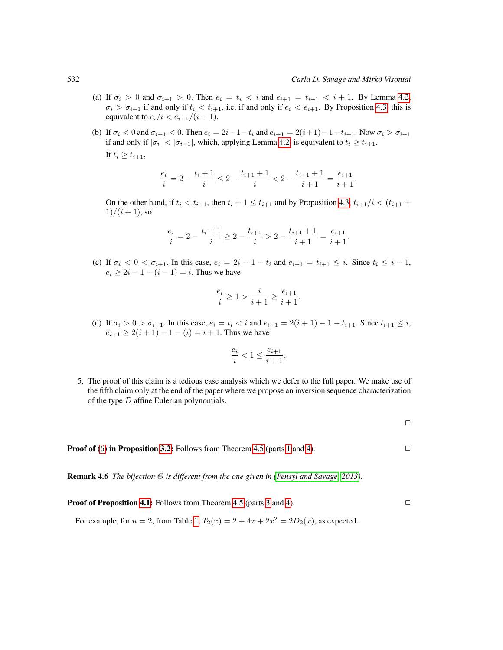- (a) If  $\sigma_i > 0$  and  $\sigma_{i+1} > 0$ . Then  $e_i = t_i < i$  and  $e_{i+1} = t_{i+1} < i+1$ . By Lemma [4.2,](#page-3-1)  $\sigma_i > \sigma_{i+1}$  if and only if  $t_i < t_{i+1}$ , i.e, if and only if  $e_i < e_{i+1}$ . By Proposition [4.3,](#page-3-2) this is equivalent to  $e_i/i < e_{i+1}/(i+1)$ .
- (b) If  $\sigma_i < 0$  and  $\sigma_{i+1} < 0$ . Then  $e_i = 2i 1 t_i$  and  $e_{i+1} = 2(i+1) 1 t_{i+1}$ . Now  $\sigma_i > \sigma_{i+1}$ if and only if  $|\sigma_i| < |\sigma_{i+1}|$ , which, applying Lemma [4.2,](#page-3-1) is equivalent to  $t_i \ge t_{i+1}$ .

If  $t_i \geq t_{i+1}$ ,

$$
\frac{e_i}{i}=2-\frac{t_i+1}{i}\leq 2-\frac{t_{i+1}+1}{i}<2-\frac{t_{i+1}+1}{i+1}=\frac{e_{i+1}}{i+1}.
$$

On the other hand, if  $t_i < t_{i+1}$ , then  $t_i + 1 \le t_{i+1}$  and by Proposition [4.3,](#page-3-2)  $t_{i+1}/i < (t_{i+1} +$  $1)/(i + 1)$ , so

$$
\frac{e_i}{i}=2-\frac{t_i+1}{i}\geq 2-\frac{t_{i+1}}{i}>2-\frac{t_{i+1}+1}{i+1}=\frac{e_{i+1}}{i+1}.
$$

(c) If  $\sigma_i < 0 < \sigma_{i+1}$ . In this case,  $e_i = 2i - 1 - t_i$  and  $e_{i+1} = t_{i+1} \leq i$ . Since  $t_i \leq i - 1$ ,  $e_i \geq 2i - 1 - (i - 1) = i$ . Thus we have

$$
\frac{e_i}{i}\geq 1>\frac{i}{i+1}\geq \frac{e_{i+1}}{i+1}.
$$

(d) If  $\sigma_i > 0 > \sigma_{i+1}$ . In this case,  $e_i = t_i < i$  and  $e_{i+1} = 2(i+1) - 1 - t_{i+1}$ . Since  $t_{i+1} \leq i$ ,  $e_{i+1} \geq 2(i+1) - 1 - (i) = i+1$ . Thus we have

$$
\frac{e_i}{i} < 1 \le \frac{e_{i+1}}{i+1}.
$$

5. The proof of this claim is a tedious case analysis which we defer to the full paper. We make use of the fifth claim only at the end of the paper where we propose an inversion sequence characterization of the type D affine Eulerian polynomials.

 $\Box$ 

**Proof of** [\(6\)](#page-2-3) in Proposition [3.2:](#page-2-4) Follows from Theorem [4.5](#page-4-1) (parts [1](#page-4-2) and [4\)](#page-4-3).  $\Box$ 

Remark 4.6 *The bijection* Θ *is different from the one given in [\(Pensyl and Savage, 2013\)](#page-11-5).*

**Proof of Proposition [4.1:](#page-3-3)** Follows from Theorem [4.5](#page-4-1) (parts [3](#page-4-4) and [4\)](#page-4-3).  $\Box$ 

For example, for  $n = 2$ , from Table [1,](#page-4-0)  $T_2(x) = 2 + 4x + 2x^2 = 2D_2(x)$ , as expected.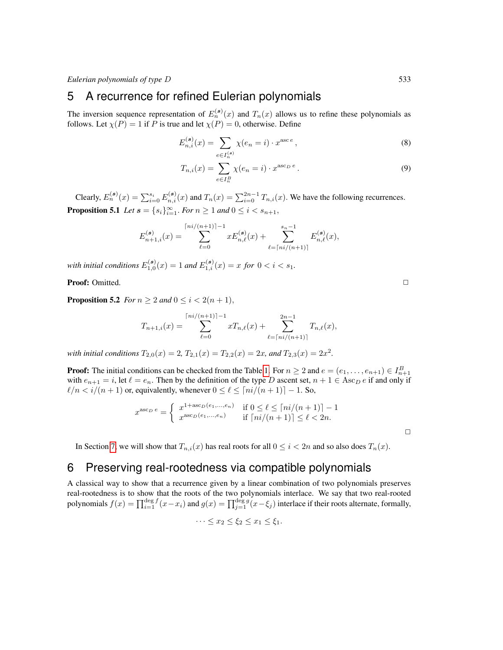### <span id="page-6-0"></span>5 A recurrence for refined Eulerian polynomials

The inversion sequence representation of  $E_n^{(s)}(x)$  and  $T_n(x)$  allows us to refine these polynomials as follows. Let  $\chi(P) = 1$  if P is true and let  $\chi(P) = 0$ , otherwise. Define

$$
E_{n,i}^{(s)}(x) = \sum_{e \in I_n^{(s)}} \chi(e_n = i) \cdot x^{\text{asc }e} \,, \tag{8}
$$

$$
T_{n,i}(x) = \sum_{e \in I_n^B} \chi(e_n = i) \cdot x^{\text{asc}_D e}.
$$
 (9)

Clearly,  $E_n^{(s)}(x) = \sum_{i=0}^{s_i} E_{n,i}^{(s)}(x)$  and  $T_n(x) = \sum_{i=0}^{2n-1} T_{n,i}(x)$ . We have the following recurrences. **Proposition 5.1** *Let*  $s = \{s_i\}_{i=1}^{\infty}$ *. For*  $n \ge 1$  *and*  $0 \le i < s_{n+1}$ *,* 

$$
E_{n+1,i}^{(\mathbf{s})}(x) = \sum_{\ell=0}^{\lceil ni/(n+1)\rceil-1} x E_{n,\ell}^{(\mathbf{s})}(x) + \sum_{\ell=\lceil ni/(n+1)\rceil}^{s_n-1} E_{n,\ell}^{(\mathbf{s})}(x),
$$

with initial conditions  $E_{1,0}^{(s)}(x) = 1$  and  $E_{1,i}^{(s)}(x) = x$  for  $0 < i < s_1$ .

**Proof:** Omitted. <u>□</u>

**Proposition 5.2** *For*  $n \geq 2$  *and*  $0 \leq i < 2(n + 1)$ ,

$$
T_{n+1,i}(x) = \sum_{\ell=0}^{\lceil ni/(n+1)\rceil-1} x T_{n,\ell}(x) + \sum_{\ell=\lceil ni/(n+1)\rceil}^{2n-1} T_{n,\ell}(x),
$$

with initial conditions  $T_{2,0}(x) = 2$ ,  $T_{2,1}(x) = T_{2,2}(x) = 2x$ , and  $T_{2,3}(x) = 2x^2$ .

**Proof:** The initial conditions can be checked from the Table [1.](#page-4-0) For  $n \ge 2$  and  $e = (e_1, \ldots, e_{n+1}) \in I_{n+1}^B$ with  $e_{n+1} = i$ , let  $\ell = e_n$ . Then by the definition of the type D ascent set,  $n + 1 \in \text{Asc}_D e$  if and only if  $\ell/n < i/(n + 1)$  or, equivalently, whenever  $0 \leq \ell \leq \lceil ni/(n + 1) \rceil - 1$ . So,

$$
x^{\text{asc}_D e} = \begin{cases} x^{1+\text{asc}_D(e_1,\dots,e_n)} & \text{if } 0 \le \ell \le \lceil ni/(n+1) \rceil - 1 \\ x^{\text{asc}_D(e_1,\dots,e_n)} & \text{if } \lceil ni/(n+1) \rceil \le \ell < 2n. \end{cases}
$$

In Section [7,](#page-9-0) we will show that  $T_{n,i}(x)$  has real roots for all  $0 \leq i < 2n$  and so also does  $T_n(x)$ .

### <span id="page-6-1"></span>6 Preserving real-rootedness via compatible polynomials

A classical way to show that a recurrence given by a linear combination of two polynomials preserves real-rootedness is to show that the roots of the two polynomials interlace. We say that two real-rooted polynomials  $f(x) = \prod_{i=1}^{\deg f} (x - x_i)$  and  $g(x) = \prod_{j=1}^{\deg g} (x - \xi_j)$  interlace if their roots alternate, formally,

$$
\cdots \leq x_2 \leq \xi_2 \leq x_1 \leq \xi_1.
$$

<span id="page-6-4"></span><span id="page-6-3"></span><span id="page-6-2"></span>

 $\Box$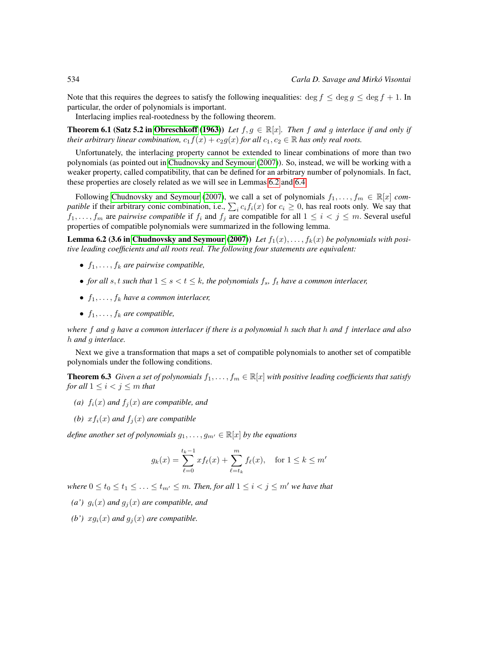Note that this requires the degrees to satisfy the following inequalities: deg  $f \le \deg g \le \deg f + 1$ . In particular, the order of polynomials is important.

Interlacing implies real-rootedness by the following theorem.

**Theorem 6.1 (Satz 5.2 in [Obreschkoff](#page-11-6) [\(1963\)](#page-11-6))** *Let*  $f, g \in \mathbb{R}[x]$ *. Then* f and g interlace if and only if *their arbitrary linear combination,*  $c_1 f(x) + c_2 g(x)$  *for all*  $c_1, c_2 \in \mathbb{R}$  *has only real roots.* 

Unfortunately, the interlacing property cannot be extended to linear combinations of more than two polynomials (as pointed out in [Chudnovsky and Seymour](#page-11-7) [\(2007\)](#page-11-7)). So, instead, we will be working with a weaker property, called compatibility, that can be defined for an arbitrary number of polynomials. In fact, these properties are closely related as we will see in Lemmas [6.2](#page-7-0) and [6.4.](#page-8-0)

Following [Chudnovsky and Seymour](#page-11-7) [\(2007\)](#page-11-7), we call a set of polynomials  $f_1, \ldots, f_m \in \mathbb{R}[x]$  *compatible* if their arbitrary conic combination, i.e.,  $\sum_i c_i f_i(x)$  for  $c_i \ge 0$ , has real roots only. We say that  $f_1, \ldots, f_m$  are *pairwise compatible* if  $f_i$  and  $f_j$  are compatible for all  $1 \leq i < j \leq m$ . Several useful properties of compatible polynomials were summarized in the following lemma.

**Lemma 6.2 (3.6 in [Chudnovsky and Seymour](#page-11-7) [\(2007\)](#page-11-7))** Let  $f_1(x), \ldots, f_k(x)$  be polynomials with posi*tive leading coefficients and all roots real. The following four statements are equivalent:*

- <span id="page-7-0"></span>•  $f_1, \ldots, f_k$  are pairwise compatible,
- *for all* s, t such that  $1 \leq s < t \leq k$ , the polynomials  $f_s$ ,  $f_t$  have a common interlacer,
- $f_1, \ldots, f_k$  have a common interlacer,
- $f_1, \ldots, f_k$  are compatible,

*where* f *and* g *have a common interlacer if there is a polynomial* h *such that* h *and* f *interlace and also* h *and* g *interlace.*

Next we give a transformation that maps a set of compatible polynomials to another set of compatible polynomials under the following conditions.

<span id="page-7-5"></span>**Theorem 6.3** *Given a set of polynomials*  $f_1, \ldots, f_m \in \mathbb{R}[x]$  *with positive leading coefficients that satisfy for all*  $1 \leq i < j \leq m$  *that* 

- <span id="page-7-2"></span>*(a)*  $f_i(x)$  *and*  $f_i(x)$  *are compatible, and*
- <span id="page-7-3"></span>*(b)*  $xf_i(x)$  *and*  $f_i(x)$  *are compatible*

*define another set of polynomials*  $q_1, \ldots, q_{m'} \in \mathbb{R}[x]$  *by the equations* 

$$
g_k(x) = \sum_{\ell=0}^{t_k-1} x f_{\ell}(x) + \sum_{\ell=t_k}^{m} f_{\ell}(x), \text{ for } 1 \le k \le m'
$$

*where*  $0 \le t_0 \le t_1 \le \ldots \le t_{m'} \le m$ . Then, for all  $1 \le i \le j \le m'$  we have that

- <span id="page-7-1"></span>(a')  $g_i(x)$  *and*  $g_j(x)$  *are compatible, and*
- <span id="page-7-4"></span>*(b')*  $xg_i(x)$  *and*  $g_j(x)$  *are compatible.*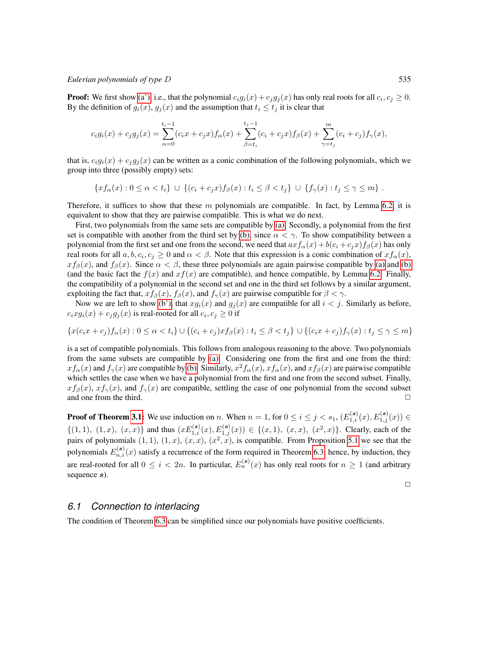#### *Eulerian polynomials of type* D 535

**Proof:** We first show [\(a'\),](#page-7-1) i.e., that the polynomial  $c_i g_i(x) + c_j g_j(x)$  has only real roots for all  $c_i, c_j \ge 0$ . By the definition of  $g_i(x)$ ,  $g_j(x)$  and the assumption that  $t_i \leq t_j$  it is clear that

$$
c_i g_i(x) + c_j g_j(x) = \sum_{\alpha=0}^{t_i-1} (c_i x + c_j x) f_{\alpha}(x) + \sum_{\beta=t_i}^{t_j-1} (c_i + c_j x) f_{\beta}(x) + \sum_{\gamma=t_j}^{m} (c_i + c_j) f_{\gamma}(x),
$$

that is,  $c_i g_i(x) + c_j g_j(x)$  can be written as a conic combination of the following polynomials, which we group into three (possibly empty) sets:

$$
\{xf_{\alpha}(x): 0 \leq \alpha < t_{i}\} \cup \{(c_{i} + c_{j}x)f_{\beta}(x): t_{i} \leq \beta < t_{j}\} \cup \{f_{\gamma}(x): t_{j} \leq \gamma \leq m\}.
$$

Therefore, it suffices to show that these m polynomials are compatible. In fact, by Lemma [6.2,](#page-7-0) it is equivalent to show that they are pairwise compatible. This is what we do next.

First, two polynomials from the same sets are compatible by [\(a\).](#page-7-2) Secondly, a polynomial from the first set is compatible with another from the third set by [\(b\),](#page-7-3) since  $\alpha < \gamma$ . To show compatibility between a polynomial from the first set and one from the second, we need that  $axf_\alpha(x) + b(c_i + c_jx)f_\beta(x)$  has only real roots for all  $a, b, c_i, c_j \ge 0$  and  $\alpha < \beta$ . Note that this expression is a conic combination of  $xf_\alpha(x)$ ,  $xf_\beta(x)$ , and  $f_\beta(x)$ . Since  $\alpha < \beta$ , these three polynomials are again pairwise compatible by [\(a\)](#page-7-2) and [\(b\)](#page-7-3) (and the basic fact the  $f(x)$  and  $xf(x)$  are compatible), and hence compatible, by Lemma [6.2.](#page-7-0) Finally, the compatibility of a polynomial in the second set and one in the third set follows by a similar argument, exploiting the fact that,  $xf_\beta(x)$ ,  $f_\beta(x)$ , and  $f_\gamma(x)$  are pairwise compatible for  $\beta < \gamma$ .

Now we are left to show [\(b'\),](#page-7-4) that  $xg_i(x)$  and  $g_j(x)$  are compatible for all  $i < j$ . Similarly as before,  $c_i x g_i(x) + c_j g_j(x)$  is real-rooted for all  $c_i, c_j \ge 0$  if

$$
\{x(c_ix + c_j)f_{\alpha}(x) : 0 \le \alpha < t_i\} \cup \{(c_i + c_j)xf_{\beta}(x) : t_i \le \beta < t_j\} \cup \{(c_ix + c_j)f_{\gamma}(x) : t_j \le \gamma \le m\}
$$

is a set of compatible polynomials. This follows from analogous reasoning to the above. Two polynomials from the same subsets are compatible by [\(a\).](#page-7-2) Considering one from the first and one from the third:  $xf_\alpha(x)$  and  $f_\gamma(x)$  are compatible by [\(b\).](#page-7-3) Similarly,  $x^2f_\alpha(x)$ ,  $xf_\alpha(x)$ , and  $xf_\beta(x)$  are pairwise compatible which settles the case when we have a polynomial from the first and one from the second subset. Finally,  $xf_\beta(x)$ ,  $xf_\gamma(x)$ , and  $f_\gamma(x)$  are compatible, settling the case of one polynomial from the second subset and one from the third.  $\Box$ 

**Proof of Theorem [3.1:](#page-2-1)** We use induction on n. When  $n = 1$ , for  $0 \le i \le j < s_1$ ,  $(E_{1,i}^{(s)}(x), E_{1,j}^{(s)}(x)) \in$  $\{(1,1), (1,x), (x,x)\}\$  and thus  $(xE_{1,i}^{(s)}(x), E_{1,j}^{(s)}(x)) \in \{(x,1), (x,x), (x^2,x)\}\.$  Clearly, each of the pairs of polynomials  $(1, 1)$ ,  $(1, x)$ ,  $(x, x)$ ,  $(x^2, x)$ , is compatible. From Proposition [5.1](#page-6-2) we see that the polynomials  $E_{n,i}^{(s)}(x)$  satisfy a recurrence of the form required in Theorem [6.3,](#page-7-5) hence, by induction, they are real-rooted for all  $0 \le i < 2n$ . In particular,  $E_n^{(s)}(x)$  has only real roots for  $n \ge 1$  (and arbitrary sequence s).

<span id="page-8-0"></span> $\Box$ 

#### *6.1 Connection to interlacing*

The condition of Theorem [6.3](#page-7-5) can be simplified since our polynomials have positive coefficients.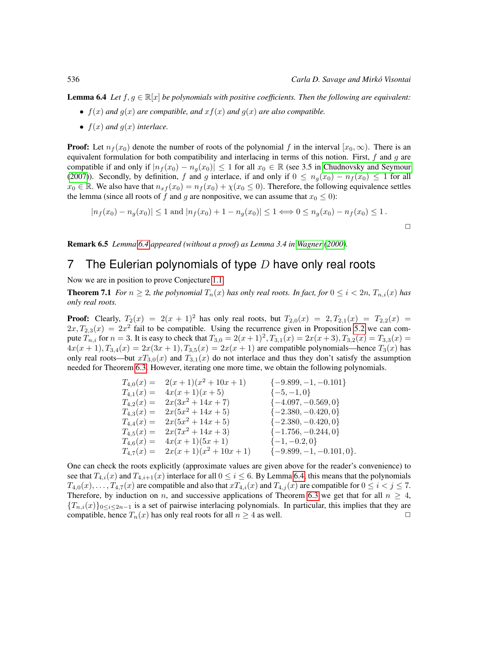**Lemma 6.4** *Let*  $f, g \in \mathbb{R}[x]$  *be polynomials with positive coefficients. Then the following are equivalent:* 

- $f(x)$  *and*  $g(x)$  *are compatible, and*  $xf(x)$  *and*  $g(x)$  *are also compatible.*
- $f(x)$  *and*  $g(x)$  *interlace.*

**Proof:** Let  $n_f(x_0)$  denote the number of roots of the polynomial f in the interval  $[x_0, \infty)$ . There is an equivalent formulation for both compatibility and interlacing in terms of this notion. First,  $f$  and  $g$  are compatible if and only if  $|n_f(x_0) - n_q(x_0)| \leq 1$  for all  $x_0 \in \mathbb{R}$  (see 3.5 in [Chudnovsky and Seymour](#page-11-7) [\(2007\)](#page-11-7)). Secondly, by definition, f and g interlace, if and only if  $0 \leq n_q(x_0) - n_f(x_0) \leq 1$  for all  $x_0 \in \mathbb{R}$ . We also have that  $n_x f(x_0) = n_f(x_0) + \chi(x_0 \le 0)$ . Therefore, the following equivalence settles the lemma (since all roots of f and g are nonpositive, we can assume that  $x_0 \le 0$ ):

<span id="page-9-1"></span>
$$
|n_f(x_0) - n_g(x_0)| \le 1 \text{ and } |n_f(x_0) + 1 - n_g(x_0)| \le 1 \Longleftrightarrow 0 \le n_g(x_0) - n_f(x_0) \le 1.
$$

 $\Box$ 

Remark 6.5 *Lemma [6.4](#page-8-0) appeared (without a proof) as Lemma 3.4 in [Wagner](#page-11-8) [\(2000\)](#page-11-8).*

### <span id="page-9-0"></span>7 The Eulerian polynomials of type  $D$  have only real roots

Now we are in position to prove Conjecture [1.1.](#page-0-0)

**Theorem 7.1** *For*  $n \geq 2$ *, the polynomial*  $T_n(x)$  *has only real roots. In fact, for*  $0 \leq i < 2n$ *,*  $T_{n,i}(x)$  *has only real roots.*

**Proof:** Clearly,  $T_2(x) = 2(x + 1)^2$  has only real roots, but  $T_{2,0}(x) = 2, T_{2,1}(x) = T_{2,2}(x) =$  $2x, T_{2,3}(x) = 2x^2$  fail to be compatible. Using the recurrence given in Proposition [5.2](#page-6-3) we can compute  $T_{n,i}$  for  $n=3$ . It is easy to check that  $T_{3,0} = 2(x+1)^2, T_{3,1}(x) = 2x(x+3), T_{3,2}(x) = T_{3,3}(x) =$  $4x(x + 1), T_{3,4}(x) = 2x(3x + 1), T_{3,5}(x) = 2x(x + 1)$  are compatible polynomials—hence  $T_3(x)$  has only real roots—but  $xT_{3,0}(x)$  and  $T_{3,1}(x)$  do not interlace and thus they don't satisfy the assumption needed for Theorem [6.3.](#page-7-5) However, iterating one more time, we obtain the following polynomials.

|                | $T_{4,0}(x) = 2(x+1)(x^2+10x+1)$  | $\{-9.899, -1, -0.101\}$     |
|----------------|-----------------------------------|------------------------------|
|                | $T_{4,1}(x) = 4x(x+1)(x+5)$       | $\{-5,-1,0\}$                |
| $T_{4,2}(x) =$ | $2x(3x^2+14x+7)$                  | $\{-4.097, -0.569, 0\}$      |
| $T_{4,3}(x) =$ | $2x(5x^2+14x+5)$                  | $\{-2.380, -0.420, 0\}$      |
| $T_{4,4}(x) =$ | $2x(5x^2+14x+5)$                  | $\{-2.380, -0.420, 0\}$      |
| $T_{4,5}(x) =$ | $2x(7x^2+14x+3)$                  | $\{-1.756, -0.244, 0\}$      |
| $T_{4.6}(x) =$ | $4x(x+1)(5x+1)$                   | $\{-1, -0.2, 0\}$            |
|                | $T_{4,7}(x) = 2x(x+1)(x^2+10x+1)$ | $\{-9.899, -1, -0.101, 0\}.$ |

One can check the roots explicitly (approximate values are given above for the reader's convenience) to see that  $T_{4,i}(x)$  and  $T_{4,i+1}(x)$  interlace for all  $0 \le i \le 6$ . By Lemma [6.4,](#page-8-0) this means that the polynomials  $T_{4,0}(x),\ldots,T_{4,7}(x)$  are compatible and also that  $xT_{4,i}(x)$  and  $T_{4,j}(x)$  are compatible for  $0 \le i < j \le 7$ . Therefore, by induction on n, and successive applications of Theorem [6.3](#page-7-5) we get that for all  $n \geq 4$ ,  ${T_{n,i}(x)}$ <sub>0≤i≤2n−1</sub> is a set of pairwise interlacing polynomials. In particular, this implies that they are compatible, hence  $T_n(x)$  has only real roots for all  $n \geq 4$  as well.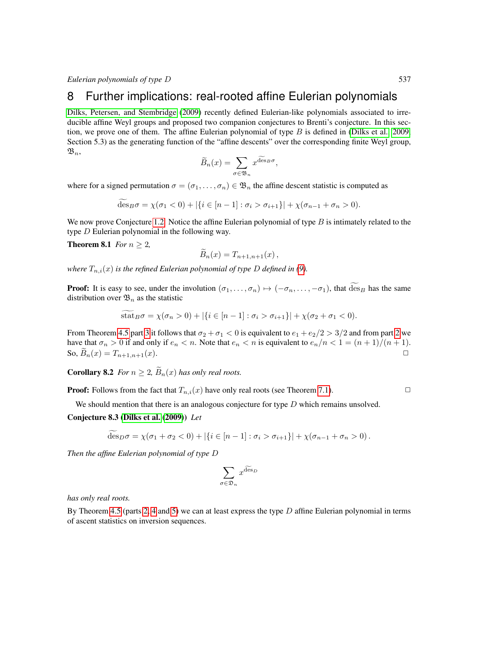## <span id="page-10-0"></span>8 Further implications: real-rooted affine Eulerian polynomials

[Dilks, Petersen, and Stembridge](#page-11-2) [\(2009\)](#page-11-2) recently defined Eulerian-like polynomials associated to irreducible affine Weyl groups and proposed two companion conjectures to Brenti's conjecture. In this section, we prove one of them. The affine Eulerian polynomial of type  $B$  is defined in [\(Dilks et al., 2009,](#page-11-2) Section 5.3) as the generating function of the "affine descents" over the corresponding finite Weyl group,  $\mathfrak{B}_n$ ,

$$
\widetilde{B}_n(x) = \sum_{\sigma \in \mathfrak{B}_n} x^{\widetilde{\text{des}}_B \sigma},
$$

where for a signed permutation  $\sigma = (\sigma_1, \ldots, \sigma_n) \in \mathfrak{B}_n$  the affine descent statistic is computed as

$$
\deg_B \sigma = \chi(\sigma_1 < 0) + |\{i \in [n-1] : \sigma_i > \sigma_{i+1}\}| + \chi(\sigma_{n-1} + \sigma_n > 0).
$$

We now prove Conjecture [1.2.](#page-1-2) Notice the affine Eulerian polynomial of type  $B$  is intimately related to the type D Eulerian polynomial in the following way.

**Theorem 8.1** *For*  $n \geq 2$ *,* 

$$
B_n(x) = T_{n+1,n+1}(x) ,
$$

*where*  $T_{n,i}(x)$  *is the refined Eulerian polynomial of type D defined in [\(9\)](#page-6-4).* 

**Proof:** It is easy to see, under the involution  $(\sigma_1, \ldots, \sigma_n) \mapsto (-\sigma_n, \ldots, -\sigma_1)$ , that  $\widetilde{\text{des}}_B$  has the same distribution over  $\mathfrak{B}_n$  as the statistic

$$
stat_B \sigma = \chi(\sigma_n > 0) + |\{i \in [n-1] : \sigma_i > \sigma_{i+1}\}| + \chi(\sigma_2 + \sigma_1 < 0).
$$

From Theorem [4.5](#page-4-1) part [3](#page-4-4) it follows that  $\sigma_2 + \sigma_1 < 0$  is equivalent to  $e_1 + e_2/2 > 3/2$  and from part [2](#page-4-5) we have that  $\sigma_n > 0$  if and only if  $e_n < n$ . Note that  $e_n < n$  is equivalent to  $e_n/n < 1 = (n+1)/(n+1)$ . So,  $B_n(x) = T_{n+1,n+1}(x)$ .

**Corollary 8.2** *For*  $n \geq 2$ ,  $\widetilde{B}_n(x)$  *has only real roots.* 

**Proof:** Follows from the fact that  $T_{n,i}(x)$  have only real roots (see Theorem [7.1\)](#page-9-1).

We should mention that there is an analogous conjecture for type  $D$  which remains unsolved.

#### Conjecture 8.3 [\(Dilks et al.](#page-11-2) [\(2009\)](#page-11-2)) *Let*

$$
\widetilde{\operatorname{des}}_D \sigma = \chi(\sigma_1 + \sigma_2 < 0) + |\{i \in [n-1] : \sigma_i > \sigma_{i+1}\}| + \chi(\sigma_{n-1} + \sigma_n > 0).
$$

*Then the affine Eulerian polynomial of type* D

$$
\sum_{\sigma \in \mathfrak{D}_n} x^{\widetilde{\text{des}}_D}
$$

*has only real roots.*

By Theorem [4.5](#page-4-1) (parts [2,](#page-4-5) [4](#page-4-3) and [5\)](#page-4-6) we can at least express the type  $D$  affine Eulerian polynomial in terms of ascent statistics on inversion sequences.